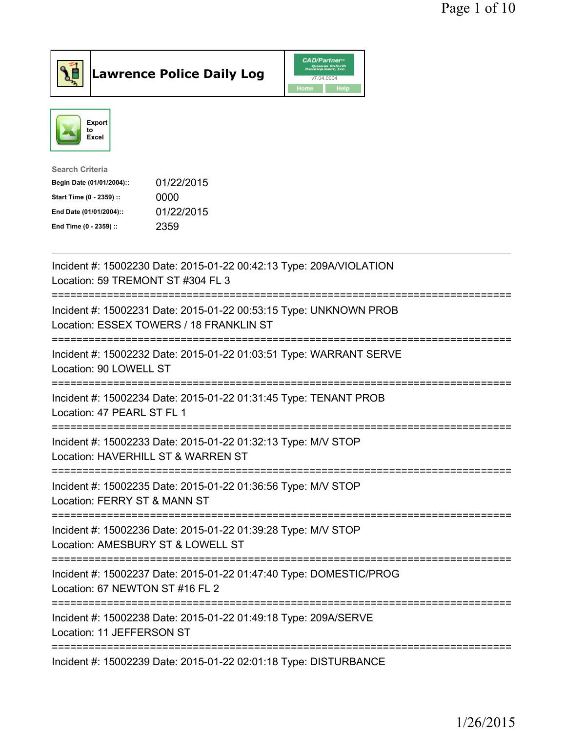



| <b>Search Criteria</b>    |            |
|---------------------------|------------|
| Begin Date (01/01/2004):: | 01/22/2015 |
| Start Time (0 - 2359) ::  | 0000       |
| End Date (01/01/2004)::   | 01/22/2015 |
| End Time (0 - 2359) ::    | 2359       |
|                           |            |

| Incident #: 15002230 Date: 2015-01-22 00:42:13 Type: 209A/VIOLATION<br>Location: 59 TREMONT ST #304 FL 3     |
|--------------------------------------------------------------------------------------------------------------|
| Incident #: 15002231 Date: 2015-01-22 00:53:15 Type: UNKNOWN PROB<br>Location: ESSEX TOWERS / 18 FRANKLIN ST |
| Incident #: 15002232 Date: 2015-01-22 01:03:51 Type: WARRANT SERVE<br>Location: 90 LOWELL ST                 |
| Incident #: 15002234 Date: 2015-01-22 01:31:45 Type: TENANT PROB<br>Location: 47 PEARL ST FL 1               |
| Incident #: 15002233 Date: 2015-01-22 01:32:13 Type: M/V STOP<br>Location: HAVERHILL ST & WARREN ST          |
| Incident #: 15002235 Date: 2015-01-22 01:36:56 Type: M/V STOP<br>Location: FERRY ST & MANN ST                |
| Incident #: 15002236 Date: 2015-01-22 01:39:28 Type: M/V STOP<br>Location: AMESBURY ST & LOWELL ST           |
| Incident #: 15002237 Date: 2015-01-22 01:47:40 Type: DOMESTIC/PROG<br>Location: 67 NEWTON ST #16 FL 2        |
| Incident #: 15002238 Date: 2015-01-22 01:49:18 Type: 209A/SERVE<br>Location: 11 JEFFERSON ST                 |
| Incident #: 15002239 Date: 2015-01-22 02:01:18 Type: DISTURBANCE                                             |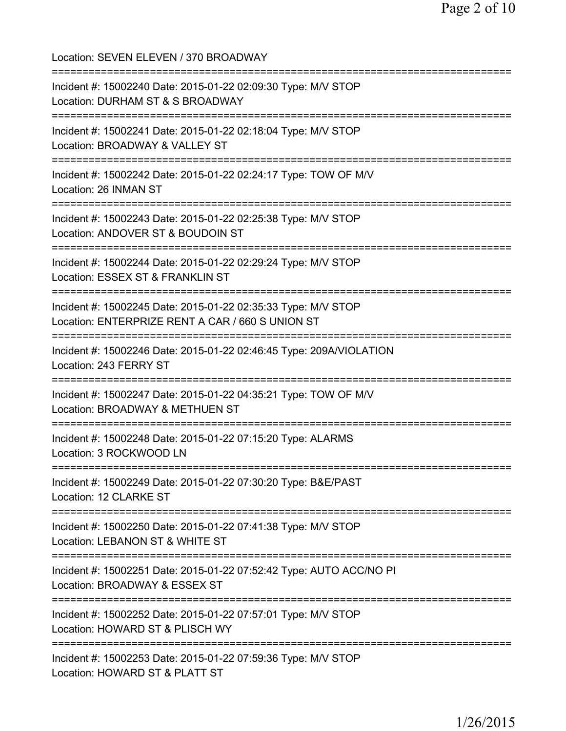Location: SEVEN ELEVEN / 370 BROADWAY =========================================================================== Incident #: 15002240 Date: 2015-01-22 02:09:30 Type: M/V STOP Location: DURHAM ST & S BROADWAY =========================================================================== Incident #: 15002241 Date: 2015-01-22 02:18:04 Type: M/V STOP Location: BROADWAY & VALLEY ST =========================================================================== Incident #: 15002242 Date: 2015-01-22 02:24:17 Type: TOW OF M/V Location: 26 INMAN ST =========================================================================== Incident #: 15002243 Date: 2015-01-22 02:25:38 Type: M/V STOP Location: ANDOVER ST & BOUDOIN ST =========================================================================== Incident #: 15002244 Date: 2015-01-22 02:29:24 Type: M/V STOP Location: ESSEX ST & FRANKLIN ST =========================================================================== Incident #: 15002245 Date: 2015-01-22 02:35:33 Type: M/V STOP Location: ENTERPRIZE RENT A CAR / 660 S UNION ST =========================================================================== Incident #: 15002246 Date: 2015-01-22 02:46:45 Type: 209A/VIOLATION Location: 243 FERRY ST =========================================================================== Incident #: 15002247 Date: 2015-01-22 04:35:21 Type: TOW OF M/V Location: BROADWAY & METHUEN ST =========================================================================== Incident #: 15002248 Date: 2015-01-22 07:15:20 Type: ALARMS Location: 3 ROCKWOOD LN =========================================================================== Incident #: 15002249 Date: 2015-01-22 07:30:20 Type: B&E/PAST Location: 12 CLARKE ST =========================================================================== Incident #: 15002250 Date: 2015-01-22 07:41:38 Type: M/V STOP Location: LEBANON ST & WHITE ST =========================================================================== Incident #: 15002251 Date: 2015-01-22 07:52:42 Type: AUTO ACC/NO PI Location: BROADWAY & ESSEX ST =========================================================================== Incident #: 15002252 Date: 2015-01-22 07:57:01 Type: M/V STOP Location: HOWARD ST & PLISCH WY =========================================================================== Incident #: 15002253 Date: 2015-01-22 07:59:36 Type: M/V STOP Location: HOWARD ST & PLATT ST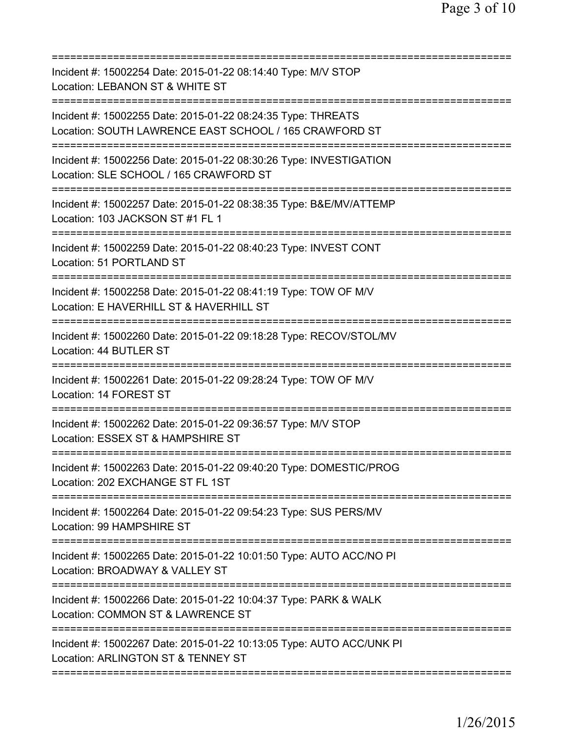| Incident #: 15002254 Date: 2015-01-22 08:14:40 Type: M/V STOP<br>Location: LEBANON ST & WHITE ST                       |
|------------------------------------------------------------------------------------------------------------------------|
| Incident #: 15002255 Date: 2015-01-22 08:24:35 Type: THREATS<br>Location: SOUTH LAWRENCE EAST SCHOOL / 165 CRAWFORD ST |
| Incident #: 15002256 Date: 2015-01-22 08:30:26 Type: INVESTIGATION<br>Location: SLE SCHOOL / 165 CRAWFORD ST           |
| Incident #: 15002257 Date: 2015-01-22 08:38:35 Type: B&E/MV/ATTEMP<br>Location: 103 JACKSON ST #1 FL 1                 |
| Incident #: 15002259 Date: 2015-01-22 08:40:23 Type: INVEST CONT<br>Location: 51 PORTLAND ST                           |
| Incident #: 15002258 Date: 2015-01-22 08:41:19 Type: TOW OF M/V<br>Location: E HAVERHILL ST & HAVERHILL ST             |
| Incident #: 15002260 Date: 2015-01-22 09:18:28 Type: RECOV/STOL/MV<br>Location: 44 BUTLER ST                           |
| Incident #: 15002261 Date: 2015-01-22 09:28:24 Type: TOW OF M/V<br>Location: 14 FOREST ST                              |
| Incident #: 15002262 Date: 2015-01-22 09:36:57 Type: M/V STOP<br>Location: ESSEX ST & HAMPSHIRE ST                     |
| Incident #: 15002263 Date: 2015-01-22 09:40:20 Type: DOMESTIC/PROG<br>Location: 202 EXCHANGE ST FL 1ST                 |
| Incident #: 15002264 Date: 2015-01-22 09:54:23 Type: SUS PERS/MV<br>Location: 99 HAMPSHIRE ST                          |
| Incident #: 15002265 Date: 2015-01-22 10:01:50 Type: AUTO ACC/NO PI<br>Location: BROADWAY & VALLEY ST                  |
| Incident #: 15002266 Date: 2015-01-22 10:04:37 Type: PARK & WALK<br>Location: COMMON ST & LAWRENCE ST                  |
| Incident #: 15002267 Date: 2015-01-22 10:13:05 Type: AUTO ACC/UNK PI<br>Location: ARLINGTON ST & TENNEY ST             |
|                                                                                                                        |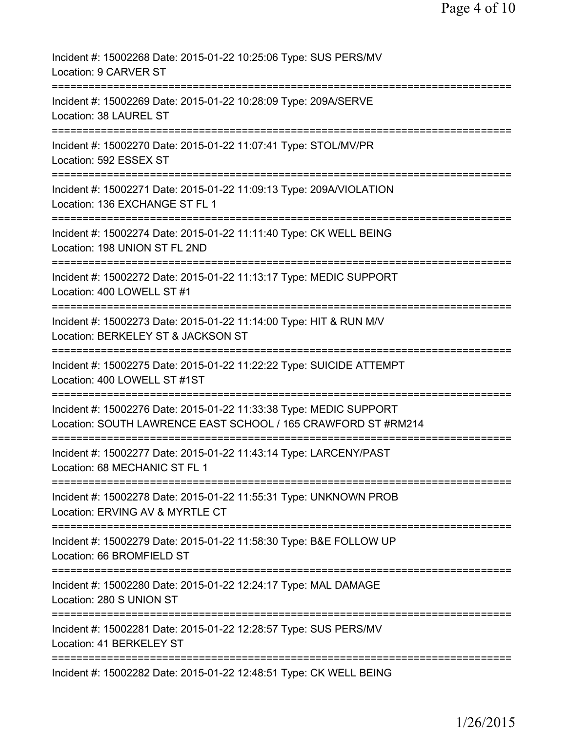| Incident #: 15002268 Date: 2015-01-22 10:25:06 Type: SUS PERS/MV<br>Location: 9 CARVER ST                                           |
|-------------------------------------------------------------------------------------------------------------------------------------|
| Incident #: 15002269 Date: 2015-01-22 10:28:09 Type: 209A/SERVE<br>Location: 38 LAUREL ST                                           |
| Incident #: 15002270 Date: 2015-01-22 11:07:41 Type: STOL/MV/PR<br>Location: 592 ESSEX ST                                           |
| Incident #: 15002271 Date: 2015-01-22 11:09:13 Type: 209A/VIOLATION<br>Location: 136 EXCHANGE ST FL 1                               |
| Incident #: 15002274 Date: 2015-01-22 11:11:40 Type: CK WELL BEING<br>Location: 198 UNION ST FL 2ND                                 |
| Incident #: 15002272 Date: 2015-01-22 11:13:17 Type: MEDIC SUPPORT<br>Location: 400 LOWELL ST #1                                    |
| Incident #: 15002273 Date: 2015-01-22 11:14:00 Type: HIT & RUN M/V<br>Location: BERKELEY ST & JACKSON ST                            |
| Incident #: 15002275 Date: 2015-01-22 11:22:22 Type: SUICIDE ATTEMPT<br>Location: 400 LOWELL ST #1ST                                |
| Incident #: 15002276 Date: 2015-01-22 11:33:38 Type: MEDIC SUPPORT<br>Location: SOUTH LAWRENCE EAST SCHOOL / 165 CRAWFORD ST #RM214 |
| Incident #: 15002277 Date: 2015-01-22 11:43:14 Type: LARCENY/PAST<br>Location: 68 MECHANIC ST FL 1                                  |
| Incident #: 15002278 Date: 2015-01-22 11:55:31 Type: UNKNOWN PROB<br>Location: ERVING AV & MYRTLE CT                                |
| Incident #: 15002279 Date: 2015-01-22 11:58:30 Type: B&E FOLLOW UP<br>Location: 66 BROMFIELD ST                                     |
| Incident #: 15002280 Date: 2015-01-22 12:24:17 Type: MAL DAMAGE<br>Location: 280 S UNION ST                                         |
| Incident #: 15002281 Date: 2015-01-22 12:28:57 Type: SUS PERS/MV<br>Location: 41 BERKELEY ST                                        |
| Incident #: 15002282 Date: 2015-01-22 12:48:51 Type: CK WELL BEING                                                                  |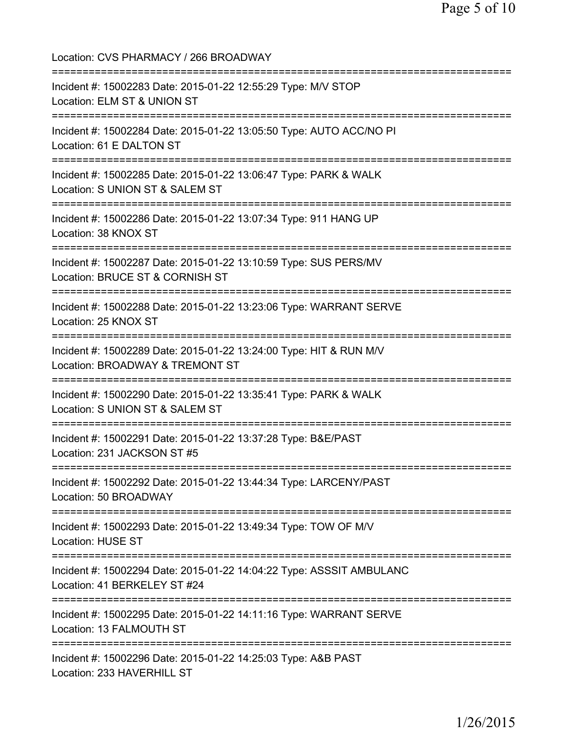Location: CVS PHARMACY / 266 BROADWAY =========================================================================== Incident #: 15002283 Date: 2015-01-22 12:55:29 Type: M/V STOP Location: ELM ST & UNION ST =========================================================================== Incident #: 15002284 Date: 2015-01-22 13:05:50 Type: AUTO ACC/NO PI Location: 61 E DALTON ST =========================================================================== Incident #: 15002285 Date: 2015-01-22 13:06:47 Type: PARK & WALK Location: S UNION ST & SALEM ST =========================================================================== Incident #: 15002286 Date: 2015-01-22 13:07:34 Type: 911 HANG UP Location: 38 KNOX ST =========================================================================== Incident #: 15002287 Date: 2015-01-22 13:10:59 Type: SUS PERS/MV Location: BRUCE ST & CORNISH ST =========================================================================== Incident #: 15002288 Date: 2015-01-22 13:23:06 Type: WARRANT SERVE Location: 25 KNOX ST =========================================================================== Incident #: 15002289 Date: 2015-01-22 13:24:00 Type: HIT & RUN M/V Location: BROADWAY & TREMONT ST =========================================================================== Incident #: 15002290 Date: 2015-01-22 13:35:41 Type: PARK & WALK Location: S UNION ST & SALEM ST =========================================================================== Incident #: 15002291 Date: 2015-01-22 13:37:28 Type: B&E/PAST Location: 231 JACKSON ST #5 =========================================================================== Incident #: 15002292 Date: 2015-01-22 13:44:34 Type: LARCENY/PAST Location: 50 BROADWAY =========================================================================== Incident #: 15002293 Date: 2015-01-22 13:49:34 Type: TOW OF M/V Location: HUSE ST =========================================================================== Incident #: 15002294 Date: 2015-01-22 14:04:22 Type: ASSSIT AMBULANC Location: 41 BERKELEY ST #24 =========================================================================== Incident #: 15002295 Date: 2015-01-22 14:11:16 Type: WARRANT SERVE Location: 13 FALMOUTH ST =========================================================================== Incident #: 15002296 Date: 2015-01-22 14:25:03 Type: A&B PAST Location: 233 HAVERHILL ST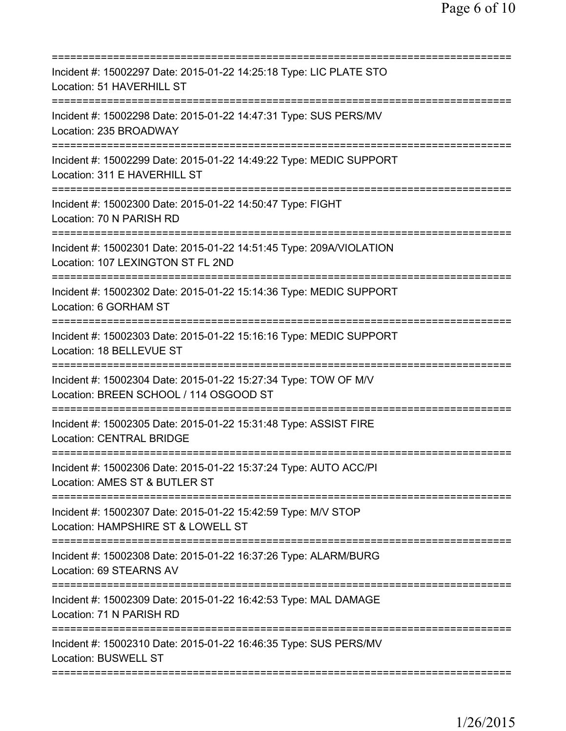| Incident #: 15002297 Date: 2015-01-22 14:25:18 Type: LIC PLATE STO<br>Location: 51 HAVERHILL ST                                                                            |
|----------------------------------------------------------------------------------------------------------------------------------------------------------------------------|
| Incident #: 15002298 Date: 2015-01-22 14:47:31 Type: SUS PERS/MV<br>Location: 235 BROADWAY                                                                                 |
| Incident #: 15002299 Date: 2015-01-22 14:49:22 Type: MEDIC SUPPORT<br>Location: 311 E HAVERHILL ST                                                                         |
| Incident #: 15002300 Date: 2015-01-22 14:50:47 Type: FIGHT<br>Location: 70 N PARISH RD                                                                                     |
| Incident #: 15002301 Date: 2015-01-22 14:51:45 Type: 209A/VIOLATION<br>Location: 107 LEXINGTON ST FL 2ND                                                                   |
| Incident #: 15002302 Date: 2015-01-22 15:14:36 Type: MEDIC SUPPORT<br>Location: 6 GORHAM ST                                                                                |
| ====================================<br>Incident #: 15002303 Date: 2015-01-22 15:16:16 Type: MEDIC SUPPORT<br>Location: 18 BELLEVUE ST<br>================================ |
| Incident #: 15002304 Date: 2015-01-22 15:27:34 Type: TOW OF M/V<br>Location: BREEN SCHOOL / 114 OSGOOD ST                                                                  |
| Incident #: 15002305 Date: 2015-01-22 15:31:48 Type: ASSIST FIRE<br><b>Location: CENTRAL BRIDGE</b>                                                                        |
| Incident #: 15002306 Date: 2015-01-22 15:37:24 Type: AUTO ACC/PI<br>Location: AMES ST & BUTLER ST                                                                          |
| Incident #: 15002307 Date: 2015-01-22 15:42:59 Type: M/V STOP<br>Location: HAMPSHIRE ST & LOWELL ST                                                                        |
| Incident #: 15002308 Date: 2015-01-22 16:37:26 Type: ALARM/BURG<br>Location: 69 STEARNS AV                                                                                 |
| Incident #: 15002309 Date: 2015-01-22 16:42:53 Type: MAL DAMAGE<br>Location: 71 N PARISH RD                                                                                |
| Incident #: 15002310 Date: 2015-01-22 16:46:35 Type: SUS PERS/MV<br><b>Location: BUSWELL ST</b>                                                                            |
|                                                                                                                                                                            |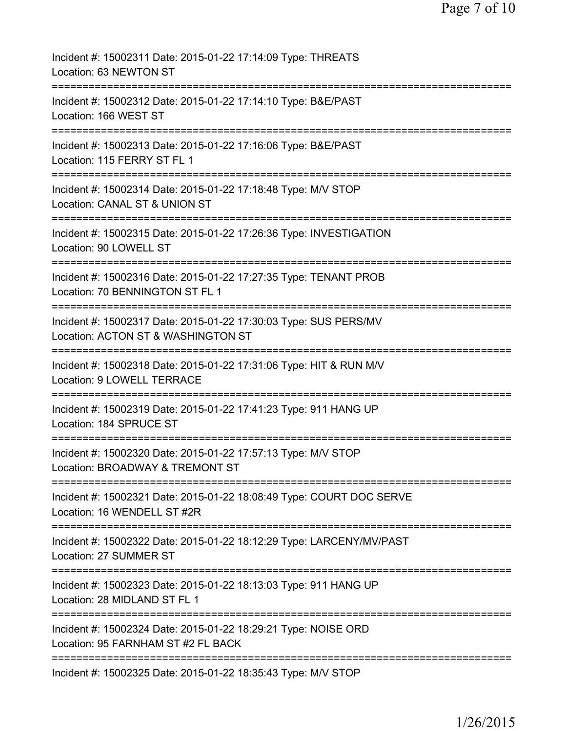| Incident #: 15002311 Date: 2015-01-22 17:14:09 Type: THREATS<br>Location: 63 NEWTON ST                                         |
|--------------------------------------------------------------------------------------------------------------------------------|
| Incident #: 15002312 Date: 2015-01-22 17:14:10 Type: B&E/PAST<br>Location: 166 WEST ST                                         |
| Incident #: 15002313 Date: 2015-01-22 17:16:06 Type: B&E/PAST<br>Location: 115 FERRY ST FL 1                                   |
| Incident #: 15002314 Date: 2015-01-22 17:18:48 Type: M/V STOP<br>Location: CANAL ST & UNION ST                                 |
| =======================<br>Incident #: 15002315 Date: 2015-01-22 17:26:36 Type: INVESTIGATION<br>Location: 90 LOWELL ST        |
| =======================<br>Incident #: 15002316 Date: 2015-01-22 17:27:35 Type: TENANT PROB<br>Location: 70 BENNINGTON ST FL 1 |
| Incident #: 15002317 Date: 2015-01-22 17:30:03 Type: SUS PERS/MV<br>Location: ACTON ST & WASHINGTON ST                         |
| Incident #: 15002318 Date: 2015-01-22 17:31:06 Type: HIT & RUN M/V<br>Location: 9 LOWELL TERRACE                               |
| Incident #: 15002319 Date: 2015-01-22 17:41:23 Type: 911 HANG UP<br>Location: 184 SPRUCE ST                                    |
| Incident #: 15002320 Date: 2015-01-22 17:57:13 Type: M/V STOP<br>Location: BROADWAY & TREMONT ST                               |
| Incident #: 15002321 Date: 2015-01-22 18:08:49 Type: COURT DOC SERVE<br>Location: 16 WENDELL ST #2R                            |
| Incident #: 15002322 Date: 2015-01-22 18:12:29 Type: LARCENY/MV/PAST<br>Location: 27 SUMMER ST                                 |
| Incident #: 15002323 Date: 2015-01-22 18:13:03 Type: 911 HANG UP<br>Location: 28 MIDLAND ST FL 1                               |
| Incident #: 15002324 Date: 2015-01-22 18:29:21 Type: NOISE ORD<br>Location: 95 FARNHAM ST #2 FL BACK                           |
| Incident #: 15002325 Date: 2015-01-22 18:35:43 Type: M/V STOP                                                                  |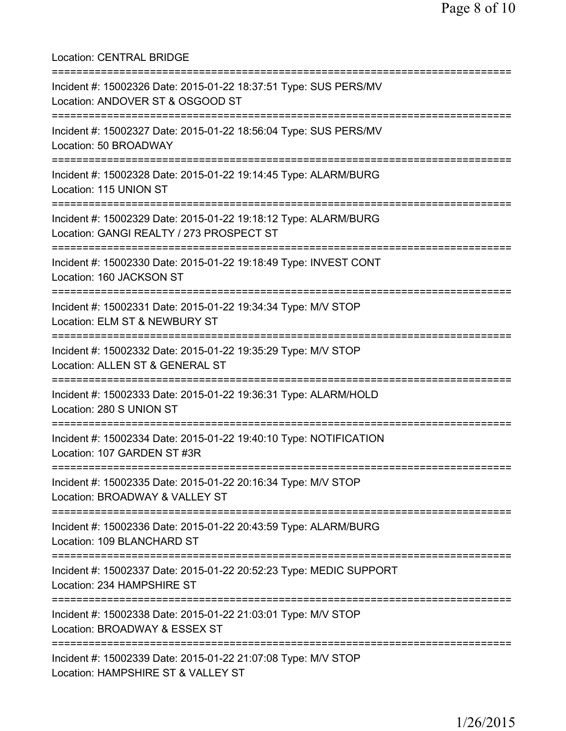Location: CENTRAL BRIDGE =========================================================================== Incident #: 15002326 Date: 2015-01-22 18:37:51 Type: SUS PERS/MV Location: ANDOVER ST & OSGOOD ST =========================================================================== Incident #: 15002327 Date: 2015-01-22 18:56:04 Type: SUS PERS/MV Location: 50 BROADWAY =========================================================================== Incident #: 15002328 Date: 2015-01-22 19:14:45 Type: ALARM/BURG Location: 115 UNION ST =========================================================================== Incident #: 15002329 Date: 2015-01-22 19:18:12 Type: ALARM/BURG Location: GANGI REALTY / 273 PROSPECT ST =========================================================================== Incident #: 15002330 Date: 2015-01-22 19:18:49 Type: INVEST CONT Location: 160 JACKSON ST =========================================================================== Incident #: 15002331 Date: 2015-01-22 19:34:34 Type: M/V STOP Location: ELM ST & NEWBURY ST =========================================================================== Incident #: 15002332 Date: 2015-01-22 19:35:29 Type: M/V STOP Location: ALLEN ST & GENERAL ST =========================================================================== Incident #: 15002333 Date: 2015-01-22 19:36:31 Type: ALARM/HOLD Location: 280 S UNION ST =========================================================================== Incident #: 15002334 Date: 2015-01-22 19:40:10 Type: NOTIFICATION Location: 107 GARDEN ST #3R =========================================================================== Incident #: 15002335 Date: 2015-01-22 20:16:34 Type: M/V STOP Location: BROADWAY & VALLEY ST =========================================================================== Incident #: 15002336 Date: 2015-01-22 20:43:59 Type: ALARM/BURG Location: 109 BLANCHARD ST =========================================================================== Incident #: 15002337 Date: 2015-01-22 20:52:23 Type: MEDIC SUPPORT Location: 234 HAMPSHIRE ST =========================================================================== Incident #: 15002338 Date: 2015-01-22 21:03:01 Type: M/V STOP Location: BROADWAY & ESSEX ST =========================================================================== Incident #: 15002339 Date: 2015-01-22 21:07:08 Type: M/V STOP Location: HAMPSHIRE ST & VALLEY ST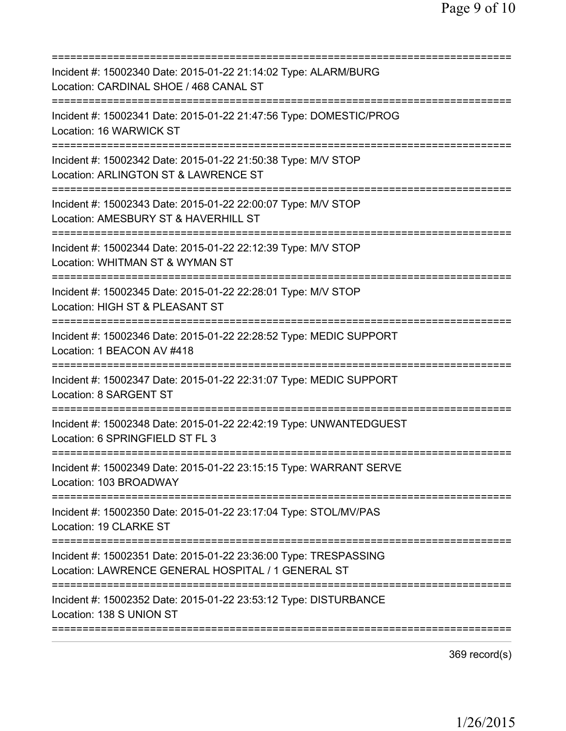| Incident #: 15002340 Date: 2015-01-22 21:14:02 Type: ALARM/BURG<br>Location: CARDINAL SHOE / 468 CANAL ST              |
|------------------------------------------------------------------------------------------------------------------------|
| Incident #: 15002341 Date: 2015-01-22 21:47:56 Type: DOMESTIC/PROG<br>Location: 16 WARWICK ST                          |
| Incident #: 15002342 Date: 2015-01-22 21:50:38 Type: M/V STOP<br>Location: ARLINGTON ST & LAWRENCE ST                  |
| Incident #: 15002343 Date: 2015-01-22 22:00:07 Type: M/V STOP<br>Location: AMESBURY ST & HAVERHILL ST                  |
| Incident #: 15002344 Date: 2015-01-22 22:12:39 Type: M/V STOP<br>Location: WHITMAN ST & WYMAN ST                       |
| Incident #: 15002345 Date: 2015-01-22 22:28:01 Type: M/V STOP<br>Location: HIGH ST & PLEASANT ST                       |
| Incident #: 15002346 Date: 2015-01-22 22:28:52 Type: MEDIC SUPPORT<br>Location: 1 BEACON AV #418                       |
| Incident #: 15002347 Date: 2015-01-22 22:31:07 Type: MEDIC SUPPORT<br>Location: 8 SARGENT ST                           |
| Incident #: 15002348 Date: 2015-01-22 22:42:19 Type: UNWANTEDGUEST<br>Location: 6 SPRINGFIELD ST FL 3                  |
| Incident #: 15002349 Date: 2015-01-22 23:15:15 Type: WARRANT SERVE<br>Location: 103 BROADWAY                           |
| Incident #: 15002350 Date: 2015-01-22 23:17:04 Type: STOL/MV/PAS<br>Location: 19 CLARKE ST                             |
| Incident #: 15002351 Date: 2015-01-22 23:36:00 Type: TRESPASSING<br>Location: LAWRENCE GENERAL HOSPITAL / 1 GENERAL ST |
| Incident #: 15002352 Date: 2015-01-22 23:53:12 Type: DISTURBANCE<br>Location: 138 S UNION ST                           |
|                                                                                                                        |

369 record(s)